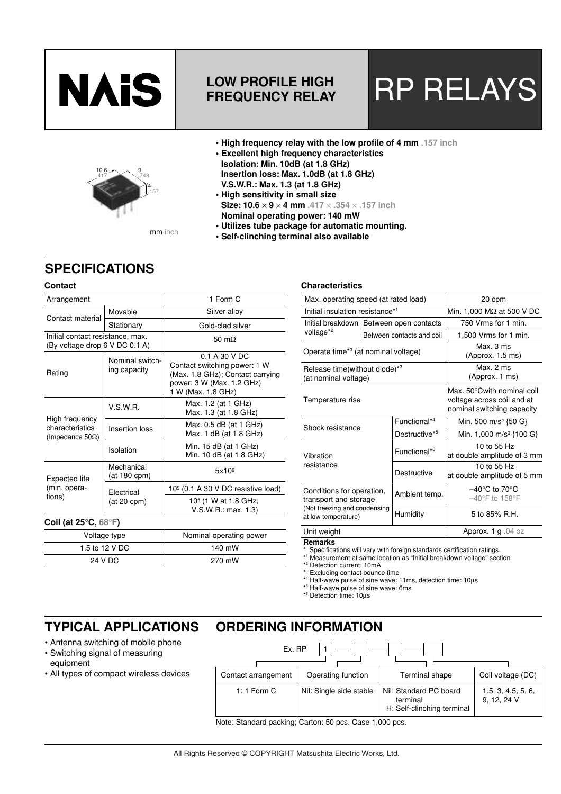

## **FREQUENCY RELAY**

# LOW PROFILE HIGH **RP RELAYS**

- **High frequency relay with the low profile of 4 mm .157 inch**
- **Excellent high frequency characteristics Isolation: Min. 10dB (at 1.8 GHz) Insertion loss: Max. 1.0dB (at 1.8 GHz) V.S.W.R.: Max. 1.3 (at 1.8 GHz)**
- **High sensitivity in small size Size: 10.6** × **9** × **4 mm .417** × **.354** × **.157 inch Nominal operating power: 140 mW • Utilizes tube package for automatic mounting.**

**• Self-clinching terminal also available**

mm inch

## **SPECIFICATIONS**

10.6

#### **Contact**

| Arrangement                                                        |                                 | 1 Form C                                                                                                                             |  |  |  |
|--------------------------------------------------------------------|---------------------------------|--------------------------------------------------------------------------------------------------------------------------------------|--|--|--|
| Contact material                                                   | Movable                         | Silver alloy                                                                                                                         |  |  |  |
|                                                                    | Stationary                      | Gold-clad silver                                                                                                                     |  |  |  |
| Initial contact resistance, max.<br>(By voltage drop 6 V DC 0.1 A) |                                 | 50 m $\Omega$                                                                                                                        |  |  |  |
| Rating                                                             | Nominal switch-<br>ing capacity | 0.1 A 30 V DC<br>Contact switching power: 1 W<br>(Max. 1.8 GHz); Contact carrying<br>power: 3 W (Max. 1.2 GHz)<br>1 W (Max. 1.8 GHz) |  |  |  |
| High frequency<br>characteristics<br>(Impedance 50 $\Omega$ )      | V.S.W.R.                        | Max. 1.2 (at 1 GHz)<br>Max. 1.3 (at 1.8 GHz)                                                                                         |  |  |  |
|                                                                    | Insertion loss                  | Max. 0.5 dB (at 1 GHz)<br>Max. 1 dB (at 1.8 GHz)                                                                                     |  |  |  |
|                                                                    | Isolation                       | Min. 15 dB (at 1 GHz)<br>Min. 10 dB (at 1.8 GHz)                                                                                     |  |  |  |
| Expected life<br>(min. opera-<br>tions)                            | Mechanical<br>(at 180 cpm)      | $5\times10^6$                                                                                                                        |  |  |  |
|                                                                    | Flectrical<br>$(at 20$ cpm $)$  | 10 <sup>5</sup> (0.1 A 30 V DC resistive load)                                                                                       |  |  |  |
|                                                                    |                                 | 10 <sup>5</sup> (1 W at 1.8 GHz;<br>V.S.W.R.: max. 1.3                                                                               |  |  |  |
| Coil (at 25 $\degree$ C, 68 $\degree$ F)                           |                                 |                                                                                                                                      |  |  |  |
|                                                                    | Voltage type                    | Nominal operating power                                                                                                              |  |  |  |
| 1.5 to 12 V DC                                                     |                                 | 140 mW                                                                                                                               |  |  |  |

270 mW

#### **Characteristics**

| Max. operating speed (at rated load)                                                                      |                           | 20 cpm                    |                                                                                        |  |  |
|-----------------------------------------------------------------------------------------------------------|---------------------------|---------------------------|----------------------------------------------------------------------------------------|--|--|
| Initial insulation resistance*1                                                                           |                           |                           | Min. 1,000 $M\Omega$ at 500 V DC                                                       |  |  |
| Initial breakdown   Between open contacts<br>voltage* <sup>2</sup>                                        |                           |                           | 750 Vrms for 1 min.                                                                    |  |  |
|                                                                                                           |                           | Between contacts and coil | 1,500 Vrms for 1 min.                                                                  |  |  |
| Operate time <sup>*3</sup> (at nominal voltage)                                                           |                           |                           | Max.3 ms<br>(Approx. 1.5 ms)                                                           |  |  |
| Release time(without diode) <sup>*3</sup><br>(at nominal voltage)                                         |                           |                           | Max. 2 ms<br>(Approx. 1 ms)                                                            |  |  |
| Temperature rise                                                                                          |                           |                           | Max. 50°Cwith nominal coil<br>voltage across coil and at<br>nominal switching capacity |  |  |
| Shock resistance                                                                                          |                           | Functional*4              | Min. 500 m/s <sup>2</sup> {50 G}                                                       |  |  |
|                                                                                                           | Destructive <sup>*5</sup> |                           | Min. 1,000 m/s <sup>2</sup> {100 G}                                                    |  |  |
| Vibration<br>resistance                                                                                   |                           | Functional* <sup>6</sup>  | 10 to 55 Hz<br>at double amplitude of 3 mm                                             |  |  |
|                                                                                                           |                           | Destructive               | 10 to 55 Hz<br>at double amplitude of 5 mm                                             |  |  |
| Conditions for operation,<br>transport and storage<br>(Not freezing and condensing<br>at low temperature) |                           | Ambient temp.             | $-40^{\circ}$ C to 70 $^{\circ}$ C<br>$-40^{\circ}$ F to 158 $^{\circ}$ F              |  |  |
|                                                                                                           |                           | Humidity                  | 5 to 85% R.H.                                                                          |  |  |
| Unit weight                                                                                               |                           |                           | Approx. 1 g .04 oz                                                                     |  |  |

#### **Remarks**

Specifications will vary with foreign standards certification ratings.

<sup>1</sup> Measurement at same location as "Initial breakdown voltage" section

\*<sup>1</sup> Measurement at same Ic<br>\*<sup>2</sup> Detection current: 10mA

\* 3 Excluding contact bounce time

\* 4 Half-wave pulse of sine wave: 11ms, detection time: 10µs

\* 5 Half-wave pulse of sine wave: 6ms

\* 6 Detection time: 10µs

## **TYPICAL APPLICATIONS**

- Antenna switching of mobile phone
- Switching signal of measuring equipment

24 V DC

• All types of compact wireless devices

|               | Ex. RP                                    |                         |                |                                                                  |                   |                                   |  |
|---------------|-------------------------------------------|-------------------------|----------------|------------------------------------------------------------------|-------------------|-----------------------------------|--|
|               | Operating function<br>Contact arrangement |                         | Terminal shape |                                                                  | Coil voltage (DC) |                                   |  |
| 1: 1 Form $C$ |                                           | Nil: Single side stable |                | Nil: Standard PC board<br>terminal<br>H: Self-clinching terminal |                   | 1.5, 3, 4.5, 5, 6,<br>9, 12, 24 V |  |

Note: Standard packing; Carton: 50 pcs. Case 1,000 pcs.

**ORDERING INFORMATION**



9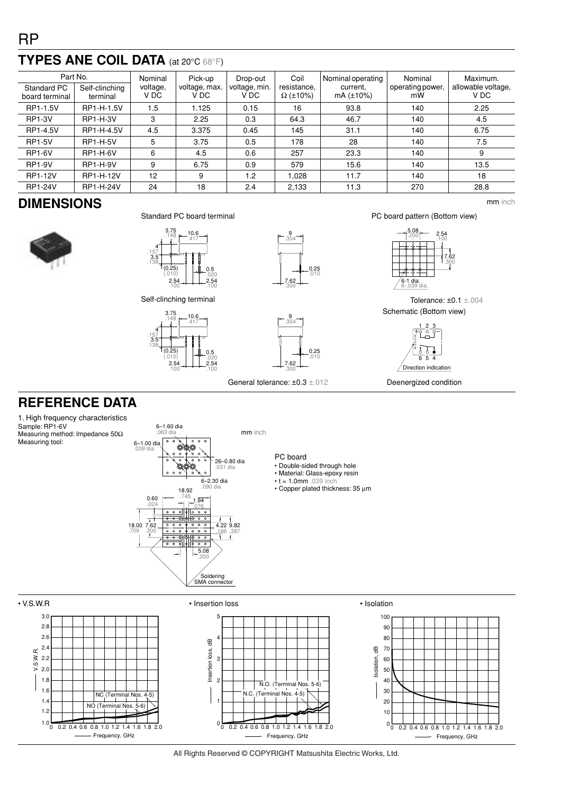## **TYPES ANE COIL DATA** (at 20°C 68°F)

| Part No.                      |                            | Nominal          | Pick-up               | Drop-out              | Coil                           | Nominal operating     | Nominal                | Maximum.                   |
|-------------------------------|----------------------------|------------------|-----------------------|-----------------------|--------------------------------|-----------------------|------------------------|----------------------------|
| Standard PC<br>board terminal | Self-clinching<br>terminal | voltage,<br>V DC | voltage, max.<br>V DC | voltage, min.<br>V DC | resistance.<br>$\Omega$ (±10%) | current.<br>mA (±10%) | operating power,<br>mW | allowable voltage,<br>V DC |
| RP1-1.5V                      | RP1-H-1.5V                 | 1.5              | .125                  | 0.15                  | 16                             | 93.8                  | 140                    | 2.25                       |
| <b>RP1-3V</b>                 | <b>RP1-H-3V</b>            | 3                | 2.25                  | 0.3                   | 64.3                           | 46.7                  | 140                    | 4.5                        |
| RP1-4.5V                      | RP1-H-4.5V                 | 4.5              | 3.375                 | 0.45                  | 145                            | 31.1                  | 140                    | 6.75                       |
| <b>RP1-5V</b>                 | <b>RP1-H-5V</b>            | 5                | 3.75                  | 0.5                   | 178                            | 28                    | 140                    | 7.5                        |
| <b>RP1-6V</b>                 | <b>RP1-H-6V</b>            | 6                | 4.5                   | 0.6                   | 257                            | 23.3                  | 140                    | 9                          |
| <b>RP1-9V</b>                 | <b>RP1-H-9V</b>            | 9                | 6.75                  | 0.9                   | 579                            | 15.6                  | 140                    | 13.5                       |
| <b>RP1-12V</b>                | RP1-H-12V                  | 12               | 9                     | 1.2                   | 1.028                          | 11.7                  | 140                    | 18                         |
| <b>RP1-24V</b>                | RP1-H-24V                  | 24               | 18                    | 2.4                   | 2,133                          | 11.3                  | 270                    | 28.8                       |

## **DIMENSIONS** mm inch









5.08 .200 7.62 .300 6-1 dia. 6-.039 dia. 2.54 .100

PC board pattern (Bottom view)

Tolerance: ±0.1 ±.004 Schematic (Bottom view)



Deenergized condition

Self-clinching terminal





General tolerance: ±0.3 ±.012

## **REFERENCE DATA**

1. High frequency characteristics Sample: RP1-6V Measuring method: Impedance 50Ω Measuring tool:



### PC board

- Double-sided through hole
- Material: Glass-epoxy resin
- $\text{-}$  t = 1.0mm .039 inch • Copper plated thickness: 35 µm



All Rights Reserved © COPYRIGHT Matsushita Electric Works, Ltd.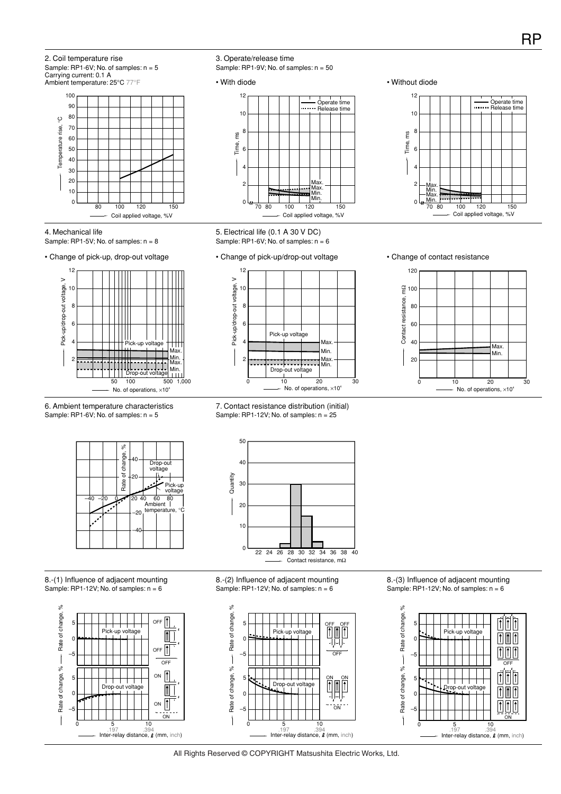Ambient temperature: 25°C 77°F 100 12 Operate time Release time 90 10 80 ပွ Temperature rise, °C 70 rise, 8 Time, ms 60 Temperature 50 6 40 30 4 20 Max. 2 Max. 10 Min. Min. 80 100 120 150 <sup>0</sup> 70 80 100 120 150 <sup>0</sup> Coil applied voltage, %V Coil applied voltage, %V 4. Mechanical life 5. Electrical life (0.1 A 30 V DC) Sample: RP1-5V; No. of samples:  $n = 8$ Sample: RP1-6V; No. of samples:  $n = 6$ 



2. Coil temperature rise

Carrying current: 0.1 A

Sample:  $RP1-6V$ ; No. of samples:  $n = 5$ 



#### 6. Ambient temperature characteristics Sample: RP1-6V; No. of samples: n = 5

3. Operate/release time

Sample: RP1-9V; No. of samples: n = 50

#### • Change of pick-up/drop-out voltage • Change of contact resistance







50









8.-(1) Influence of adjacent mounting Sample: RP1-12V; No. of samples:  $n = 6$ 





8.-(2) Influence of adjacent mounting Sample: RP1-12V; No. of samples:  $n = 6$ 



8.-(3) Influence of adjacent mounting Sample: RP1-12V; No. of samples:  $n = 6$